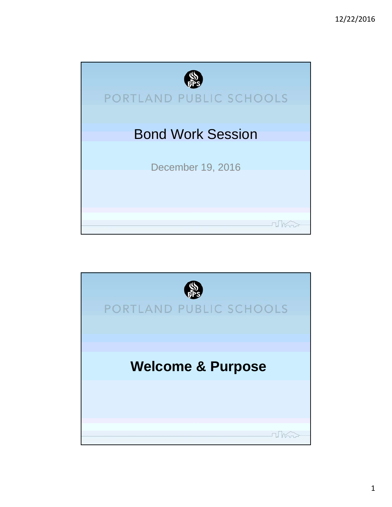

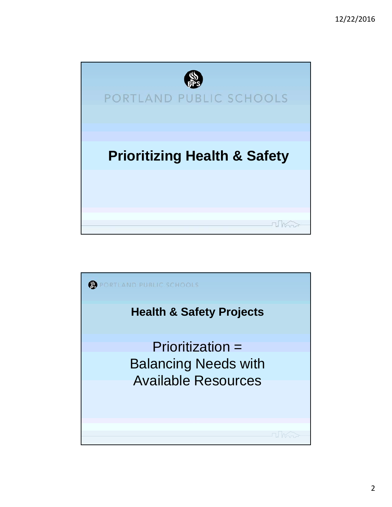

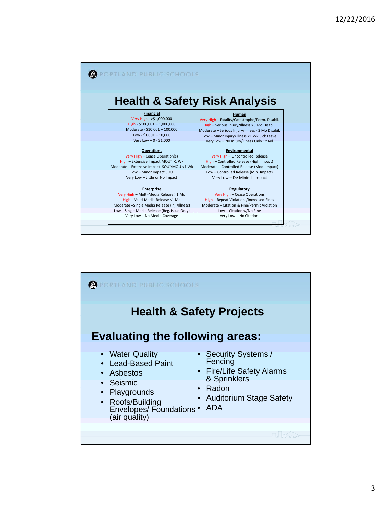

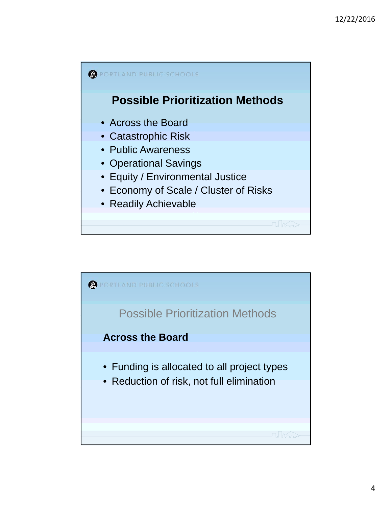

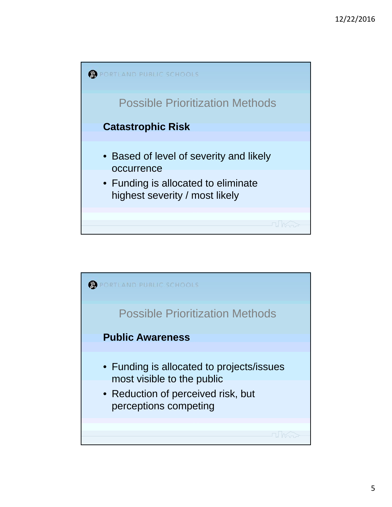

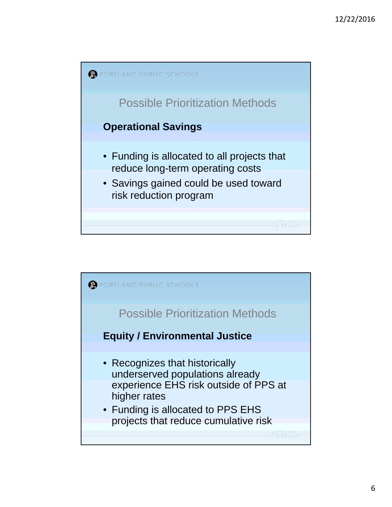

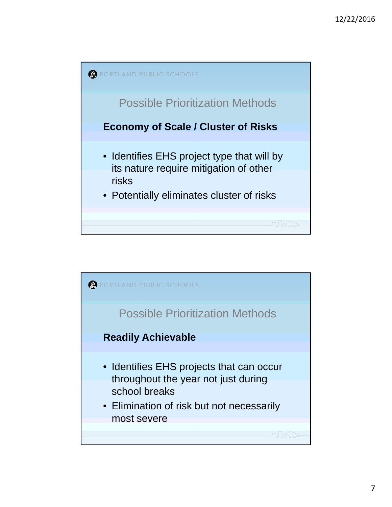

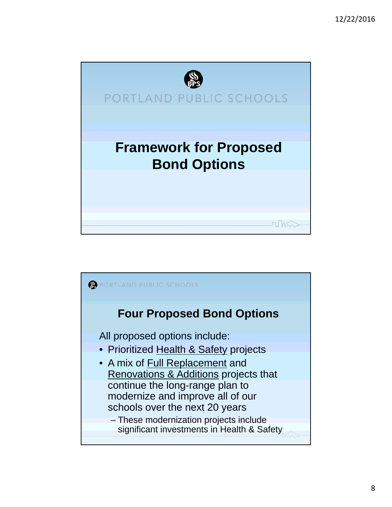

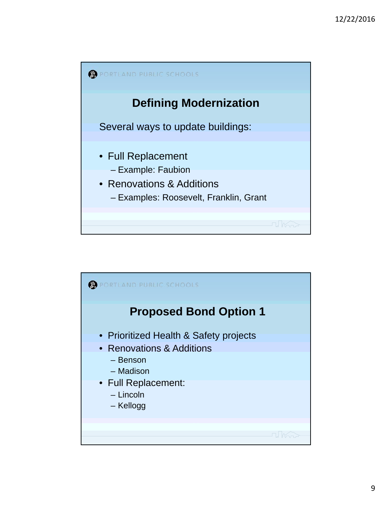

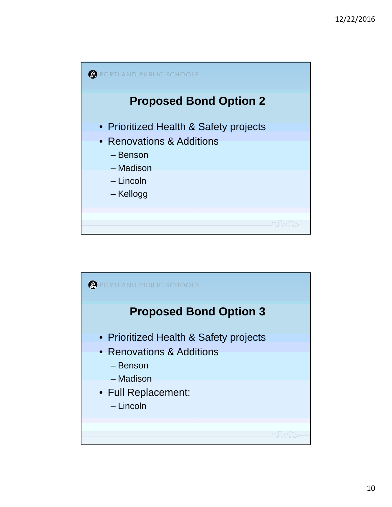

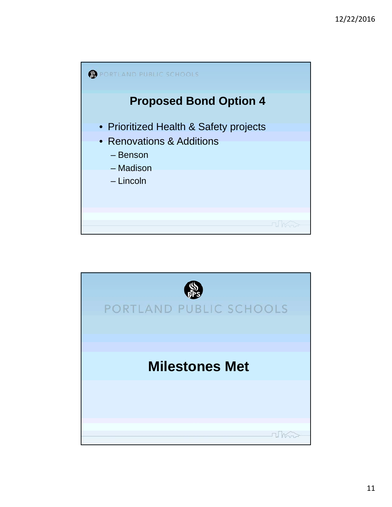

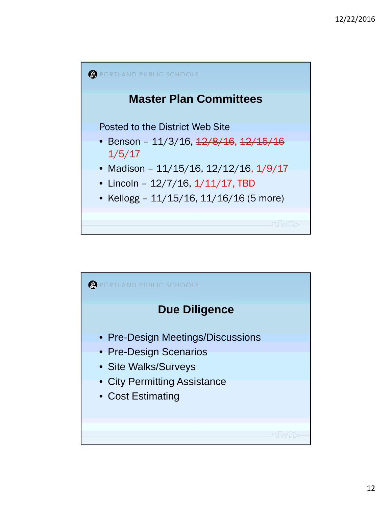

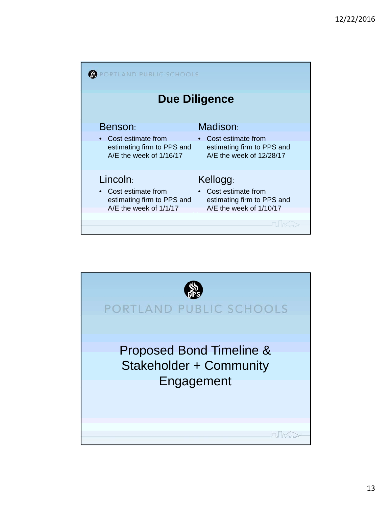

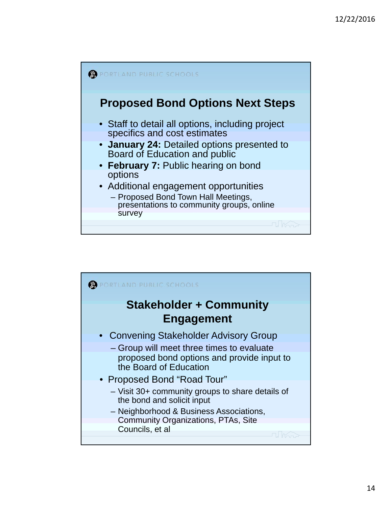

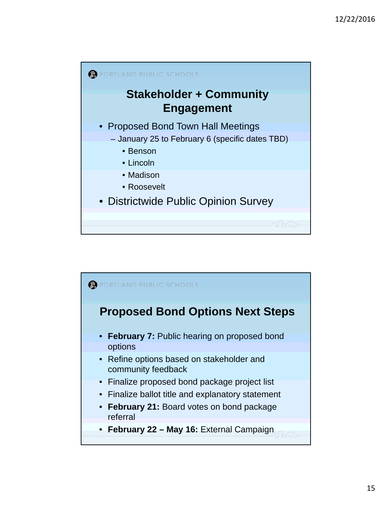

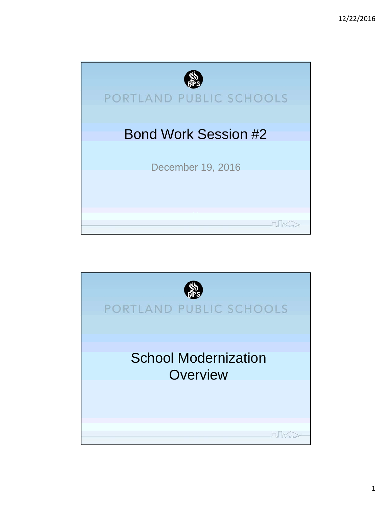

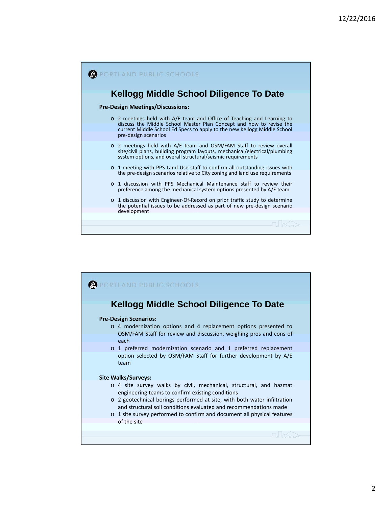

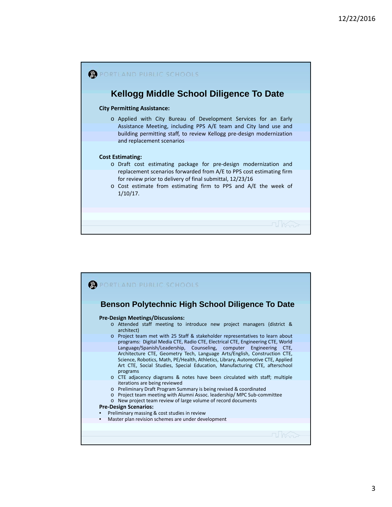

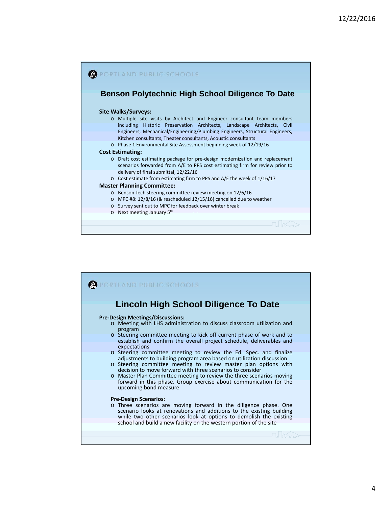

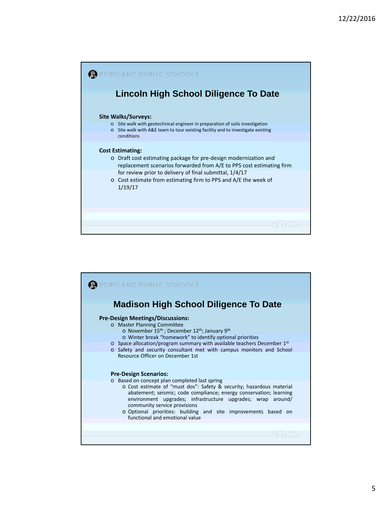

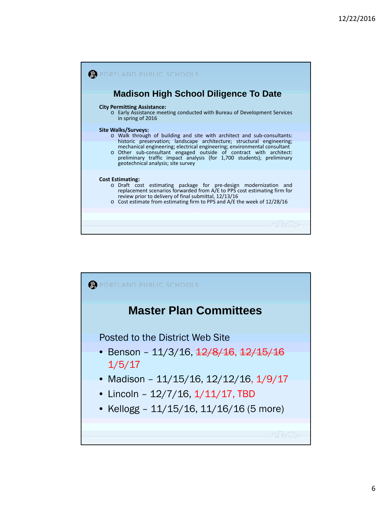